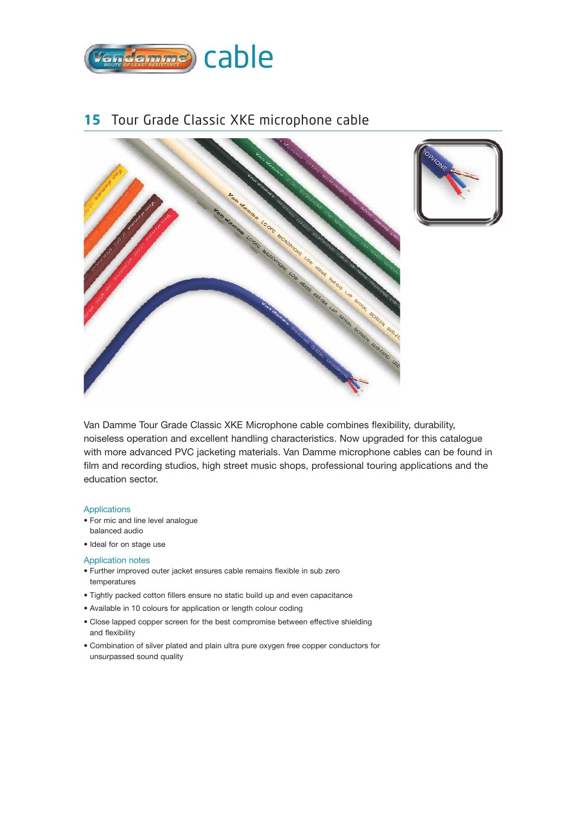

### **15** Tour Grade Classic XKE microphone cable





Van Damme Tour Grade Classic XKE Microphone cable combines flexibility, durability, noiseless operation and excellent handling characteristics. Now upgraded for this catalogue with more advanced PVC jacketing materials. Van Damme microphone cables can be found in film and recording studios, high street music shops, professional touring applications and the education sector.

#### Applications

- For mic and line level analogue balanced audio
- Ideal for on stage use

### Application notes

- Further improved outer jacket ensures cable remains flexible in sub zero temperatures
- Tightly packed cotton fillers ensure no static build up and even capacitance
- Available in 10 colours for application or length colour coding
- Close lapped copper screen for the best compromise between effective shielding and flexibility
- Combination of silver plated and plain ultra pure oxygen free copper conductors for unsurpassed sound quality